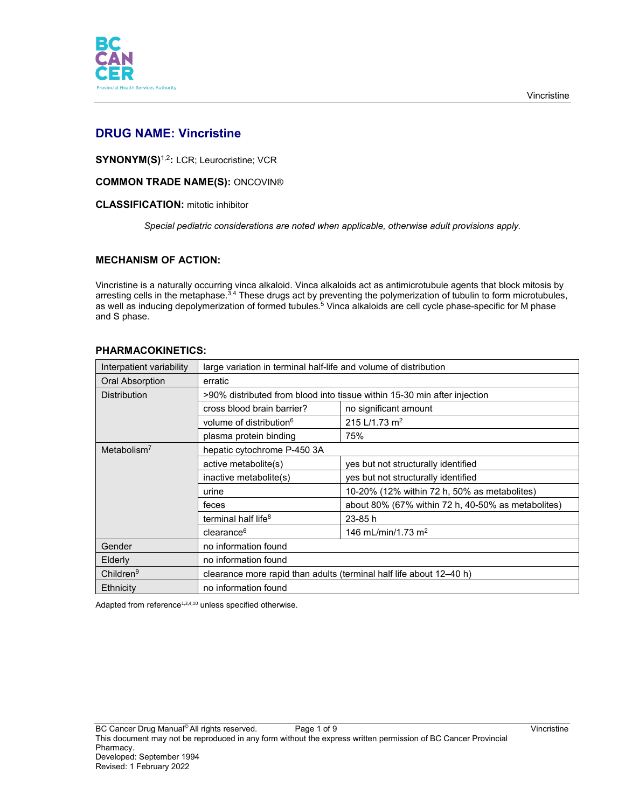

# **DRUG NAME: Vincristine**

**SYNONYM(S)**1,2**:** LCR; Leurocristine; VCR

## **COMMON TRADE NAME(S):** ONCOVIN®

## **CLASSIFICATION:** mitotic inhibitor

*Special pediatric considerations are noted when applicable, otherwise adult provisions apply.*

## **MECHANISM OF ACTION:**

Vincristine is a naturally occurring vinca alkaloid. Vinca alkaloids act as antimicrotubule agents that block mitosis by arresting cells in the metaphase.<sup>3,4</sup> These drugs act by preventing the polymerization of tubulin to form microtubules, as well as inducing depolymerization of formed tubules.<sup>5</sup> Vinca alkaloids are cell cycle phase-specific for M phase and S phase.

| Interpatient variability | large variation in terminal half-life and volume of distribution         |                                                    |  |
|--------------------------|--------------------------------------------------------------------------|----------------------------------------------------|--|
| <b>Oral Absorption</b>   | erratic                                                                  |                                                    |  |
| <b>Distribution</b>      | >90% distributed from blood into tissue within 15-30 min after injection |                                                    |  |
|                          | cross blood brain barrier?                                               | no significant amount                              |  |
|                          | volume of distribution <sup>6</sup>                                      | 215 L/1.73 m <sup>2</sup>                          |  |
|                          | plasma protein binding                                                   | 75%                                                |  |
| Metabolism $7$           | hepatic cytochrome P-450 3A                                              |                                                    |  |
|                          | active metabolite(s)                                                     | yes but not structurally identified                |  |
|                          | inactive metabolite(s)                                                   | yes but not structurally identified                |  |
|                          | urine                                                                    | 10-20% (12% within 72 h, 50% as metabolites)       |  |
|                          | feces                                                                    | about 80% (67% within 72 h, 40-50% as metabolites) |  |
|                          | terminal half life <sup>8</sup>                                          | $23 - 85h$                                         |  |
|                          | clearance <sup>6</sup>                                                   | 146 mL/min/1.73 m <sup>2</sup>                     |  |
| Gender                   | no information found                                                     |                                                    |  |
| Elderly                  | no information found                                                     |                                                    |  |
| Children <sup>9</sup>    | clearance more rapid than adults (terminal half life about 12–40 h)      |                                                    |  |
| Ethnicity                | no information found                                                     |                                                    |  |

## **PHARMACOKINETICS:**

Adapted from reference<sup>1,3,4,10</sup> unless specified otherwise.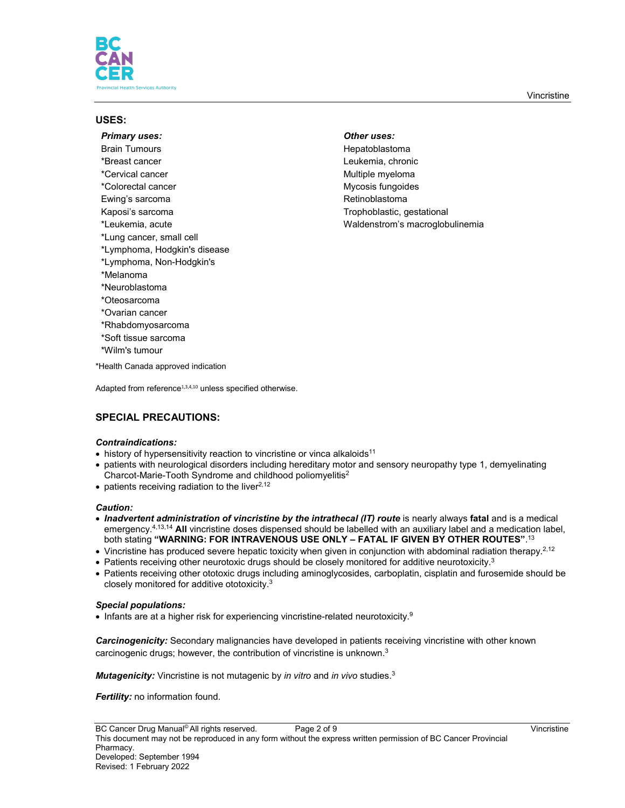

## **USES:**

*Primary uses: Other uses:* Brain Tumours **Hepatoblastoma** \*Breast cancer Leukemia, chronic \*Cervical cancer **Multiple myeloma** \*Cervical cancer \*Colorectal cancer and the matter of the Mycosis fungoides Ewing's sarcoma **Retinoblastoma** Retinoblastoma Kaposi's sarcoma Trophoblastic, gestational \*Leukemia, acute Waldenstrom's macroglobulinemia \*Lung cancer, small cell \*Lymphoma, Hodgkin's disease \*Lymphoma, Non-Hodgkin's \*Melanoma \*Neuroblastoma \*Oteosarcoma \*Ovarian cancer \*Rhabdomyosarcoma \*Soft tissue sarcoma \*Wilm's tumour \*Health Canada approved indication

# **SPECIAL PRECAUTIONS:**

## *Contraindications:*

- history of hypersensitivity reaction to vincristine or vinca alkaloids<sup>11</sup>
- patients with neurological disorders including hereditary motor and sensory neuropathy type 1, demyelinating Charcot-Marie-Tooth Syndrome and childhood poliomyelitis2
- $\bullet$  patients receiving radiation to the liver<sup>2,12</sup>

Adapted from reference<sup>1,3,4,10</sup> unless specified otherwise.

#### *Caution:*

- *Inadvertent administration of vincristine by the intrathecal (IT) route* is nearly always **fatal** and is a medical emergency.4,13,14 **All** vincristine doses dispensed should be labelled with an auxiliary label and a medication label, both stating **"WARNING: FOR INTRAVENOUS USE ONLY – FATAL IF GIVEN BY OTHER ROUTES"**. 13
- Vincristine has produced severe hepatic toxicity when given in conjunction with abdominal radiation therapy.<sup>2,12</sup>
- Patients receiving other neurotoxic drugs should be closely monitored for additive neurotoxicity.<sup>3</sup>
- Patients receiving other ototoxic drugs including aminoglycosides, carboplatin, cisplatin and furosemide should be closely monitored for additive ototoxicity.3

#### *Special populations:*

• Infants are at a higher risk for experiencing vincristine-related neurotoxicity.<sup>9</sup>

*Carcinogenicity:* Secondary malignancies have developed in patients receiving vincristine with other known carcinogenic drugs; however, the contribution of vincristine is unknown.3

*Mutagenicity:* Vincristine is not mutagenic by *in vitro* and *in vivo* studies.3

*Fertility:* no information found.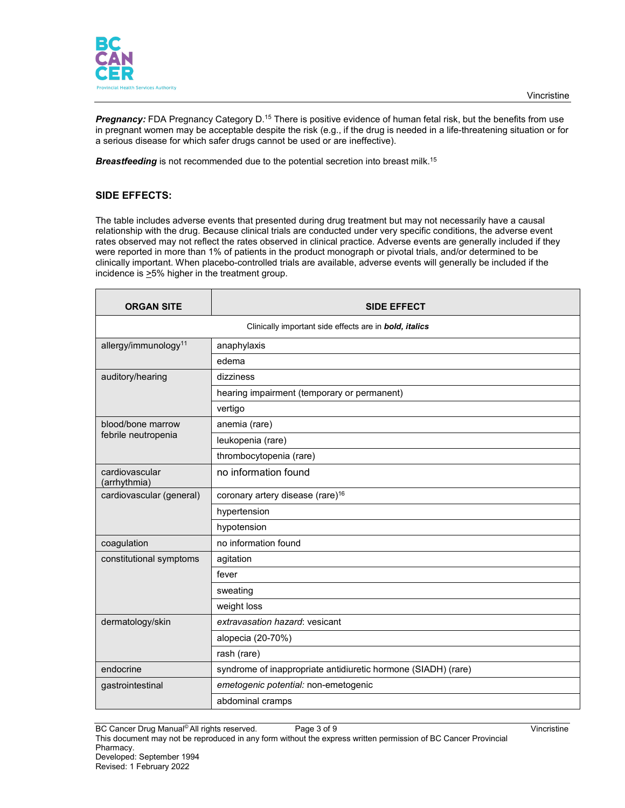

**Pregnancy:** FDA Pregnancy Category D.<sup>15</sup> There is positive evidence of human fetal risk, but the benefits from use in pregnant women may be acceptable despite the risk (e.g., if the drug is needed in a life-threatening situation or for a serious disease for which safer drugs cannot be used or are ineffective).

**Breastfeeding** is not recommended due to the potential secretion into breast milk.<sup>15</sup>

## **SIDE EFFECTS:**

The table includes adverse events that presented during drug treatment but may not necessarily have a causal relationship with the drug. Because clinical trials are conducted under very specific conditions, the adverse event rates observed may not reflect the rates observed in clinical practice. Adverse events are generally included if they were reported in more than 1% of patients in the product monograph or pivotal trials, and/or determined to be clinically important. When placebo-controlled trials are available, adverse events will generally be included if the incidence is  $\geq$ 5% higher in the treatment group.

| <b>ORGAN SITE</b>                                      | <b>SIDE EFFECT</b>                                            |  |  |
|--------------------------------------------------------|---------------------------------------------------------------|--|--|
| Clinically important side effects are in bold, italics |                                                               |  |  |
| allergy/immunology <sup>11</sup>                       | anaphylaxis                                                   |  |  |
|                                                        | edema                                                         |  |  |
| auditory/hearing                                       | dizziness                                                     |  |  |
|                                                        | hearing impairment (temporary or permanent)                   |  |  |
|                                                        | vertigo                                                       |  |  |
| blood/bone marrow                                      | anemia (rare)                                                 |  |  |
| febrile neutropenia                                    | leukopenia (rare)                                             |  |  |
|                                                        | thrombocytopenia (rare)                                       |  |  |
| cardiovascular<br>(arrhythmia)                         | no information found                                          |  |  |
| cardiovascular (general)                               | coronary artery disease (rare) <sup>16</sup>                  |  |  |
|                                                        | hypertension                                                  |  |  |
|                                                        | hypotension                                                   |  |  |
| coagulation                                            | no information found                                          |  |  |
| constitutional symptoms                                | agitation                                                     |  |  |
|                                                        | fever                                                         |  |  |
|                                                        | sweating                                                      |  |  |
|                                                        | weight loss                                                   |  |  |
| dermatology/skin                                       | extravasation hazard: vesicant                                |  |  |
|                                                        | alopecia (20-70%)                                             |  |  |
|                                                        | rash (rare)                                                   |  |  |
| endocrine                                              | syndrome of inappropriate antidiuretic hormone (SIADH) (rare) |  |  |
| gastrointestinal                                       | emetogenic potential: non-emetogenic                          |  |  |
|                                                        | abdominal cramps                                              |  |  |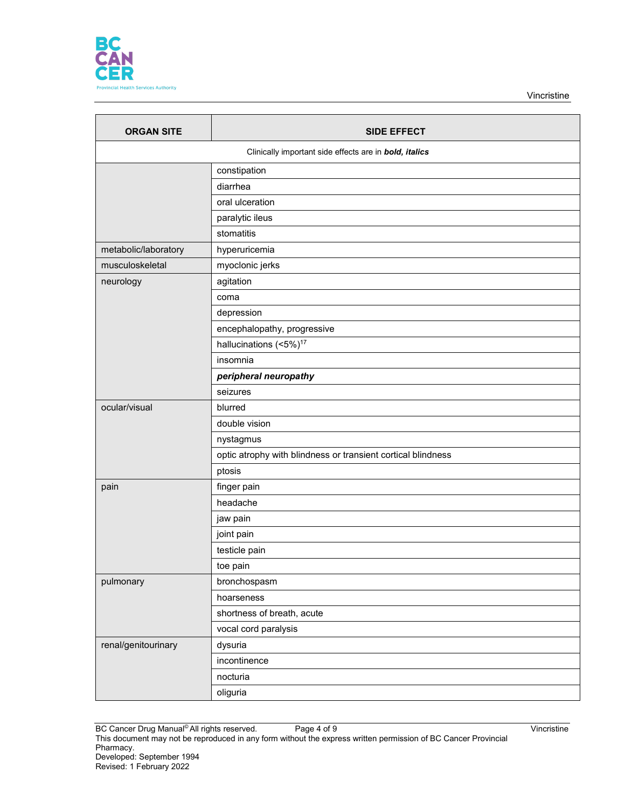

Vincristine

| <b>ORGAN SITE</b>    | <b>SIDE EFFECT</b>                                           |
|----------------------|--------------------------------------------------------------|
|                      | Clinically important side effects are in bold, italics       |
|                      | constipation                                                 |
|                      | diarrhea                                                     |
|                      | oral ulceration                                              |
|                      | paralytic ileus                                              |
|                      | stomatitis                                                   |
| metabolic/laboratory | hyperuricemia                                                |
| musculoskeletal      | myoclonic jerks                                              |
| neurology            | agitation                                                    |
|                      | coma                                                         |
|                      | depression                                                   |
|                      | encephalopathy, progressive                                  |
|                      | hallucinations (<5%) <sup>17</sup>                           |
|                      | insomnia                                                     |
|                      | peripheral neuropathy                                        |
|                      | seizures                                                     |
| ocular/visual        | blurred                                                      |
|                      | double vision                                                |
|                      | nystagmus                                                    |
|                      | optic atrophy with blindness or transient cortical blindness |
|                      | ptosis                                                       |
| pain                 | finger pain                                                  |
|                      | headache                                                     |
|                      | jaw pain                                                     |
|                      | joint pain                                                   |
|                      | testicle pain                                                |
|                      | toe pain                                                     |
| pulmonary            | bronchospasm                                                 |
|                      | hoarseness                                                   |
|                      | shortness of breath, acute                                   |
|                      | vocal cord paralysis                                         |
| renal/genitourinary  | dysuria                                                      |
|                      | incontinence                                                 |
|                      | nocturia                                                     |
|                      | oliguria                                                     |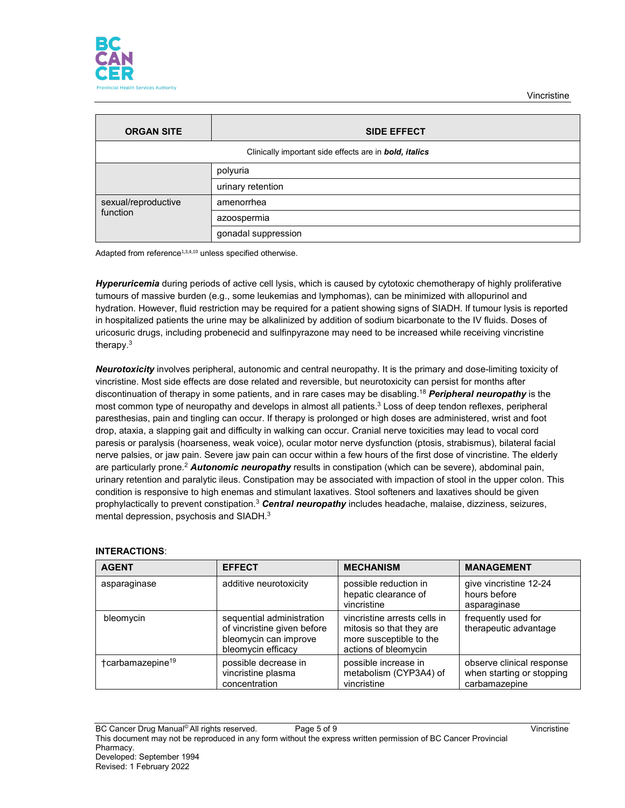

| <b>ORGAN SITE</b>                                      | <b>SIDE EFFECT</b>  |  |
|--------------------------------------------------------|---------------------|--|
| Clinically important side effects are in bold, italics |                     |  |
|                                                        | polyuria            |  |
|                                                        | urinary retention   |  |
| sexual/reproductive<br>function                        | amenorrhea          |  |
|                                                        | azoospermia         |  |
|                                                        | gonadal suppression |  |

Adapted from reference<sup>1,3,4,10</sup> unless specified otherwise.

*Hyperuricemia* during periods of active cell lysis, which is caused by cytotoxic chemotherapy of highly proliferative tumours of massive burden (e.g., some leukemias and lymphomas), can be minimized with allopurinol and hydration. However, fluid restriction may be required for a patient showing signs of SIADH. If tumour lysis is reported in hospitalized patients the urine may be alkalinized by addition of sodium bicarbonate to the IV fluids. Doses of uricosuric drugs, including probenecid and sulfinpyrazone may need to be increased while receiving vincristine therapy.3

*Neurotoxicity* involves peripheral, autonomic and central neuropathy. It is the primary and dose-limiting toxicity of vincristine. Most side effects are dose related and reversible, but neurotoxicity can persist for months after discontinuation of therapy in some patients, and in rare cases may be disabling.18 *Peripheral neuropathy* is the most common type of neuropathy and develops in almost all patients.<sup>3</sup> Loss of deep tendon reflexes, peripheral paresthesias, pain and tingling can occur. If therapy is prolonged or high doses are administered, wrist and foot drop, ataxia, a slapping gait and difficulty in walking can occur. Cranial nerve toxicities may lead to vocal cord paresis or paralysis (hoarseness, weak voice), ocular motor nerve dysfunction (ptosis, strabismus), bilateral facial nerve palsies, or jaw pain. Severe jaw pain can occur within a few hours of the first dose of vincristine. The elderly are particularly prone.2 *Autonomic neuropathy* results in constipation (which can be severe), abdominal pain, urinary retention and paralytic ileus. Constipation may be associated with impaction of stool in the upper colon. This condition is responsive to high enemas and stimulant laxatives. Stool softeners and laxatives should be given prophylactically to prevent constipation.3 *Central neuropathy* includes headache, malaise, dizziness, seizures, mental depression, psychosis and SIADH.3

## **INTERACTIONS**:

| <b>AGENT</b>                 | <b>EFFECT</b>                                                                                           | <b>MECHANISM</b>                                                                                            | <b>MANAGEMENT</b>                                                       |
|------------------------------|---------------------------------------------------------------------------------------------------------|-------------------------------------------------------------------------------------------------------------|-------------------------------------------------------------------------|
| asparaginase                 | additive neurotoxicity                                                                                  | possible reduction in<br>hepatic clearance of<br>vincristine                                                | give vincristine 12-24<br>hours before<br>asparaginase                  |
| bleomycin                    | sequential administration<br>of vincristine given before<br>bleomycin can improve<br>bleomycin efficacy | vincristine arrests cells in<br>mitosis so that they are<br>more susceptible to the<br>actions of bleomycin | frequently used for<br>therapeutic advantage                            |
| tcarbamazepine <sup>19</sup> | possible decrease in<br>vincristine plasma<br>concentration                                             | possible increase in<br>metabolism (CYP3A4) of<br>vincristine                                               | observe clinical response<br>when starting or stopping<br>carbamazepine |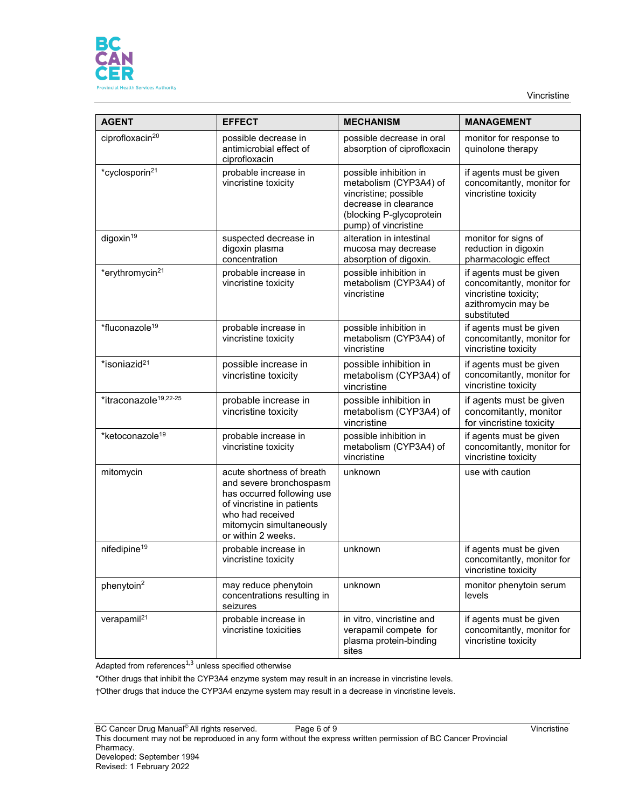

Vincristine

| <b>AGENT</b>                      | <b>EFFECT</b>                                                                                                                                                                          | <b>MECHANISM</b>                                                                                                                                       | <b>MANAGEMENT</b>                                                                                                    |  |
|-----------------------------------|----------------------------------------------------------------------------------------------------------------------------------------------------------------------------------------|--------------------------------------------------------------------------------------------------------------------------------------------------------|----------------------------------------------------------------------------------------------------------------------|--|
| ciprofloxacin <sup>20</sup>       | possible decrease in<br>antimicrobial effect of<br>ciprofloxacin                                                                                                                       | possible decrease in oral<br>absorption of ciprofloxacin                                                                                               | monitor for response to<br>quinolone therapy                                                                         |  |
| *cyclosporin <sup>21</sup>        | probable increase in<br>vincristine toxicity                                                                                                                                           | possible inhibition in<br>metabolism (CYP3A4) of<br>vincristine; possible<br>decrease in clearance<br>(blocking P-glycoprotein<br>pump) of vincristine | if agents must be given<br>concomitantly, monitor for<br>vincristine toxicity                                        |  |
| digoxin <sup>19</sup>             | suspected decrease in<br>digoxin plasma<br>concentration                                                                                                                               | alteration in intestinal<br>mucosa may decrease<br>absorption of digoxin.                                                                              | monitor for signs of<br>reduction in digoxin<br>pharmacologic effect                                                 |  |
| *erythromycin <sup>21</sup>       | probable increase in<br>vincristine toxicity                                                                                                                                           | possible inhibition in<br>metabolism (CYP3A4) of<br>vincristine                                                                                        | if agents must be given<br>concomitantly, monitor for<br>vincristine toxicity;<br>azithromycin may be<br>substituted |  |
| *fluconazole <sup>19</sup>        | probable increase in<br>vincristine toxicity                                                                                                                                           | possible inhibition in<br>metabolism (CYP3A4) of<br>vincristine                                                                                        | if agents must be given<br>concomitantly, monitor for<br>vincristine toxicity                                        |  |
| *isoniazid <sup>21</sup>          | possible increase in<br>vincristine toxicity                                                                                                                                           | possible inhibition in<br>metabolism (CYP3A4) of<br>vincristine                                                                                        | if agents must be given<br>concomitantly, monitor for<br>vincristine toxicity                                        |  |
| *itraconazole <sup>19,22-25</sup> | probable increase in<br>vincristine toxicity                                                                                                                                           | possible inhibition in<br>metabolism (CYP3A4) of<br>vincristine                                                                                        | if agents must be given<br>concomitantly, monitor<br>for vincristine toxicity                                        |  |
| *ketoconazole <sup>19</sup>       | probable increase in<br>vincristine toxicity                                                                                                                                           | possible inhibition in<br>metabolism (CYP3A4) of<br>vincristine                                                                                        | if agents must be given<br>concomitantly, monitor for<br>vincristine toxicity                                        |  |
| mitomycin                         | acute shortness of breath<br>and severe bronchospasm<br>has occurred following use<br>of vincristine in patients<br>who had received<br>mitomycin simultaneously<br>or within 2 weeks. | unknown                                                                                                                                                | use with caution                                                                                                     |  |
| nifedipine <sup>19</sup>          | probable increase in<br>vincristine toxicity                                                                                                                                           | unknown                                                                                                                                                | if agents must be given<br>concomitantly, monitor for<br>vincristine toxicity                                        |  |
| phenytoin <sup>2</sup>            | may reduce phenytoin<br>concentrations resulting in<br>seizures                                                                                                                        | unknown                                                                                                                                                | monitor phenytoin serum<br>levels                                                                                    |  |
| verapamil <sup>21</sup>           | probable increase in<br>vincristine toxicities                                                                                                                                         | in vitro, vincristine and<br>verapamil compete for<br>plasma protein-binding<br>sites                                                                  | if agents must be given<br>concomitantly, monitor for<br>vincristine toxicity                                        |  |

 $\overline{\phantom{a}}$  Adapted from references $^{1,3}$  unless specified otherwise

\*Other drugs that inhibit the CYP3A4 enzyme system may result in an increase in vincristine levels.

†Other drugs that induce the CYP3A4 enzyme system may result in a decrease in vincristine levels.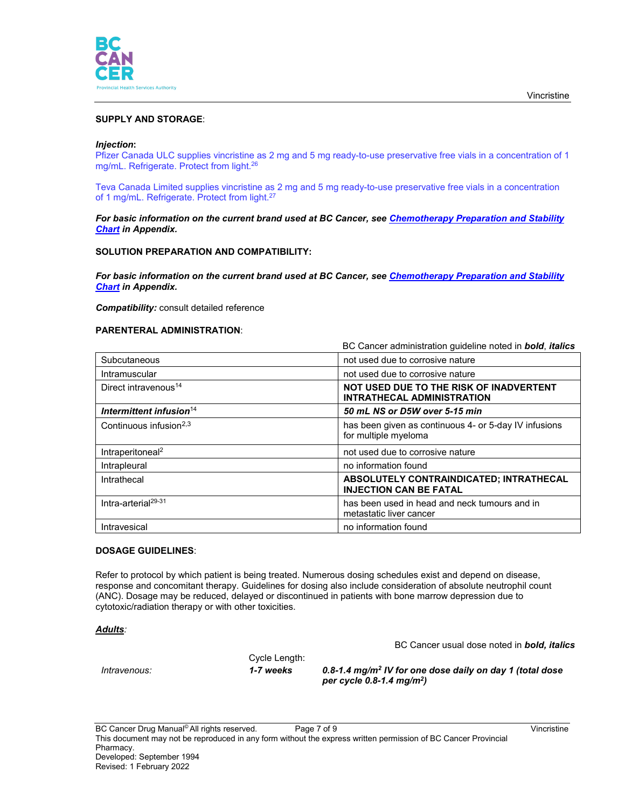

## **SUPPLY AND STORAGE**:

#### *Injection***:**

Pfizer Canada ULC supplies vincristine as 2 mg and 5 mg ready-to-use preservative free vials in a concentration of 1 mg/mL. Refrigerate. Protect from light.26

Teva Canada Limited supplies vincristine as 2 mg and 5 mg ready-to-use preservative free vials in a concentration of 1 mg/mL. Refrigerate. Protect from light.<sup>27</sup>

#### *For basic information on the current brand used at BC Cancer, see [Chemotherapy Preparation and Stability](http://www.bccancer.bc.ca/health-professionals/clinical-resources/cancer-drug-manual)  [Chart](http://www.bccancer.bc.ca/health-professionals/clinical-resources/cancer-drug-manual) in Appendix.*

### **SOLUTION PREPARATION AND COMPATIBILITY:**

*For basic information on the current brand used at BC Cancer, see [Chemotherapy Preparation and Stability](http://www.bccancer.bc.ca/health-professionals/clinical-resources/cancer-drug-manual)  [Chart](http://www.bccancer.bc.ca/health-professionals/clinical-resources/cancer-drug-manual) in Appendix.*

*Compatibility:* consult detailed reference

#### **PARENTERAL ADMINISTRATION**:

|                                    | BC Cancer administration quideline noted in <b>bold</b> , <i>italics</i>      |  |
|------------------------------------|-------------------------------------------------------------------------------|--|
| Subcutaneous                       | not used due to corrosive nature                                              |  |
| Intramuscular                      | not used due to corrosive nature                                              |  |
| Direct intravenous <sup>14</sup>   | NOT USED DUE TO THE RISK OF INADVERTENT<br>INTRATHECAL ADMINISTRATION         |  |
| Intermittent infusion $14$         | 50 mL NS or D5W over 5-15 min                                                 |  |
| Continuous infusion <sup>2,3</sup> | has been given as continuous 4- or 5-day IV infusions<br>for multiple myeloma |  |
| Intraperitoneal <sup>2</sup>       | not used due to corrosive nature                                              |  |
| Intrapleural                       | no information found                                                          |  |
| Intrathecal                        | ABSOLUTELY CONTRAINDICATED; INTRATHECAL<br><b>INJECTION CAN BE FATAL</b>      |  |
| Intra-arterial <sup>29-31</sup>    | has been used in head and neck tumours and in<br>metastatic liver cancer      |  |
| Intravesical                       | no information found                                                          |  |

#### **DOSAGE GUIDELINES**:

Refer to protocol by which patient is being treated. Numerous dosing schedules exist and depend on disease, response and concomitant therapy. Guidelines for dosing also include consideration of absolute neutrophil count (ANC). Dosage may be reduced, delayed or discontinued in patients with bone marrow depression due to cytotoxic/radiation therapy or with other toxicities.

#### *Adults:*

BC Cancer usual dose noted in *bold, italics*

Cycle Length:

*Intravenous: 1-7 weeks 0.8-1.4 mg/m2 IV for one dose daily on day 1 (total dose per cycle 0.8-1.4 mg/m2)*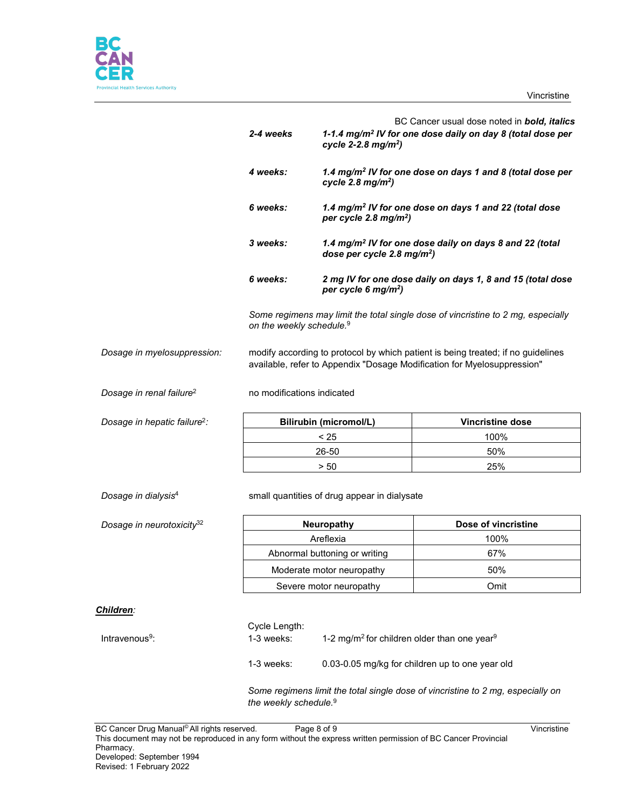



*Children:*

|                                          | 2-4 weeks                                                                                                                                                   | BC Cancer usual dose noted in bold, italics<br>1-1.4 mg/m <sup>2</sup> IV for one dose daily on day 8 (total dose per<br>cycle 2-2.8 $mg/m^2$ ) |                                                                                 |
|------------------------------------------|-------------------------------------------------------------------------------------------------------------------------------------------------------------|-------------------------------------------------------------------------------------------------------------------------------------------------|---------------------------------------------------------------------------------|
|                                          | 4 weeks:                                                                                                                                                    | cycle 2.8 $mg/m2$ )                                                                                                                             | 1.4 mg/m <sup>2</sup> IV for one dose on days 1 and 8 (total dose per           |
|                                          | 6 weeks:                                                                                                                                                    | per cycle 2.8 mg/m <sup>2</sup> )                                                                                                               | 1.4 mg/m <sup>2</sup> IV for one dose on days 1 and 22 (total dose              |
|                                          | 3 weeks:                                                                                                                                                    | dose per cycle 2.8 mg/m <sup>2</sup> )                                                                                                          | 1.4 mg/m <sup>2</sup> IV for one dose daily on days 8 and 22 (total             |
|                                          | 6 weeks:                                                                                                                                                    | per cycle 6 mg/m <sup>2</sup> )                                                                                                                 | 2 mg IV for one dose daily on days 1, 8 and 15 (total dose                      |
|                                          |                                                                                                                                                             | Some regimens may limit the total single dose of vincristine to 2 mg, especially<br>on the weekly schedule. <sup>9</sup>                        |                                                                                 |
| Dosage in myelosuppression:              | modify according to protocol by which patient is being treated; if no guidelines<br>available, refer to Appendix "Dosage Modification for Myelosuppression" |                                                                                                                                                 |                                                                                 |
| Dosage in renal failure <sup>2</sup>     | no modifications indicated                                                                                                                                  |                                                                                                                                                 |                                                                                 |
| Dosage in hepatic failure <sup>2</sup> : | <b>Bilirubin (micromol/L)</b>                                                                                                                               |                                                                                                                                                 | <b>Vincristine dose</b>                                                         |
|                                          | < 25                                                                                                                                                        |                                                                                                                                                 | 100%                                                                            |
|                                          | 26-50                                                                                                                                                       |                                                                                                                                                 | 50%                                                                             |
|                                          | > 50                                                                                                                                                        |                                                                                                                                                 | 25%                                                                             |
| Dosage in dialysis <sup>4</sup>          | small quantities of drug appear in dialysate                                                                                                                |                                                                                                                                                 |                                                                                 |
| Dosage in neurotoxicity <sup>32</sup>    | Neuropathy                                                                                                                                                  |                                                                                                                                                 | Dose of vincristine                                                             |
|                                          | Areflexia                                                                                                                                                   |                                                                                                                                                 | 100%                                                                            |
|                                          | Abnormal buttoning or writing                                                                                                                               |                                                                                                                                                 | 67%                                                                             |
|                                          | Moderate motor neuropathy                                                                                                                                   |                                                                                                                                                 | 50%                                                                             |
|                                          | Severe motor neuropathy                                                                                                                                     |                                                                                                                                                 | Omit                                                                            |
| <u> Children:</u>                        |                                                                                                                                                             |                                                                                                                                                 |                                                                                 |
| Intravenous <sup>9</sup> :               | Cycle Length:<br>1-3 weeks:<br>1-2 mg/m <sup>2</sup> for children older than one year <sup>9</sup>                                                          |                                                                                                                                                 |                                                                                 |
|                                          | 1-3 weeks:                                                                                                                                                  | 0.03-0.05 mg/kg for children up to one year old                                                                                                 |                                                                                 |
|                                          | the weekly schedule. <sup>9</sup>                                                                                                                           |                                                                                                                                                 | Some regimens limit the total single dose of vincristine to 2 mg, especially on |